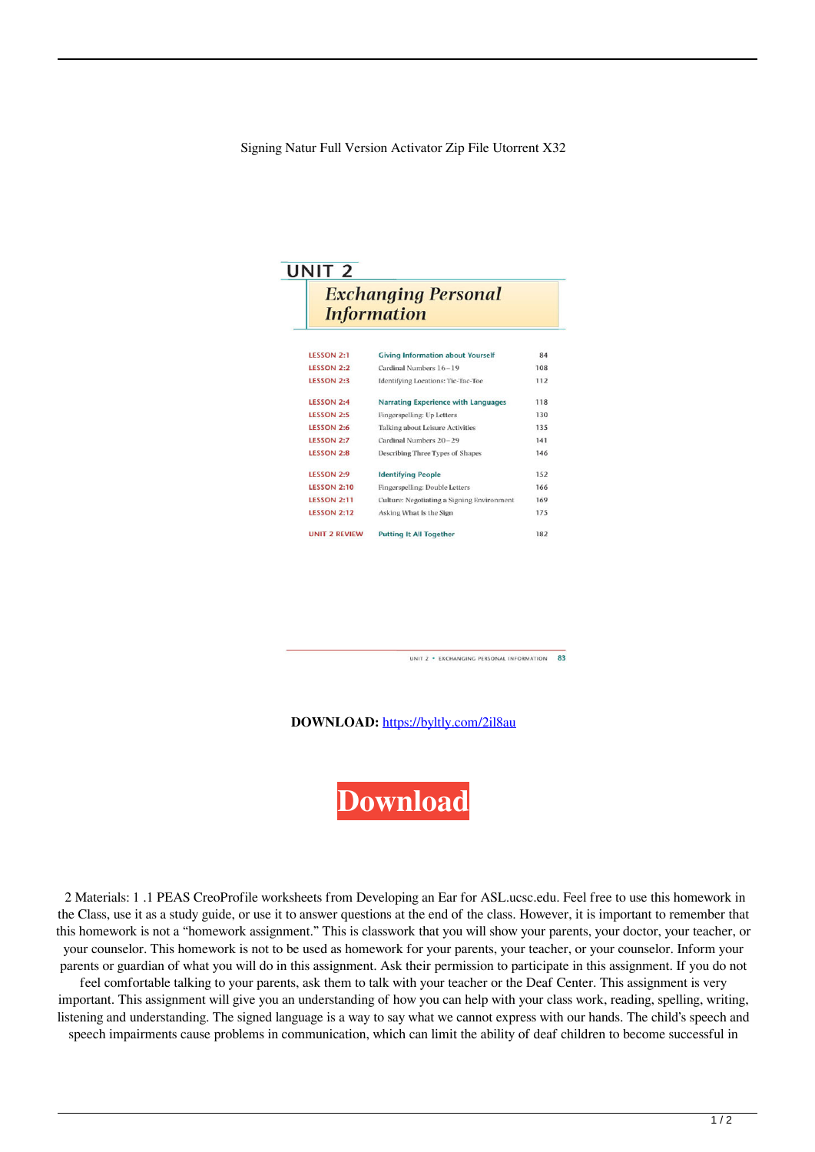Signing Natur Full Version Activator Zip File Utorrent X32

| UNIT <sub>2</sub><br><b>Exchanging Personal</b><br><b>Information</b> |                                            |     |
|-----------------------------------------------------------------------|--------------------------------------------|-----|
|                                                                       |                                            |     |
| <b>LESSON 2:2</b>                                                     | Cardinal Numbers 16-19                     | 108 |
| <b>LESSON 2:3</b>                                                     | <b>Identifying Locations: Tic-Tac-Toe</b>  | 112 |
| LESSON 2:4                                                            | <b>Narrating Experience with Languages</b> | 118 |
| <b>LESSON 2:5</b>                                                     | Fingerspelling: Up Letters                 | 130 |
| <b>LESSON 2:6</b>                                                     | Talking about Leisure Activities           | 135 |
| <b>LESSON 2:7</b>                                                     | Cardinal Numbers 20-29                     | 141 |
| <b>LESSON 2:8</b>                                                     | Describing Three Types of Shapes           | 146 |
| <b>LESSON 2:9</b>                                                     | <b>Identifying People</b>                  | 152 |
| <b>LESSON 2:10</b>                                                    | Fingerspelling: Double Letters             | 166 |
| <b>LESSON 2:11</b>                                                    | Culture: Negotiating a Signing Environment | 169 |
| <b>LESSON 2:12</b>                                                    | Asking What Is the Sign                    | 175 |
| <b>UNIT 2 REVIEW</b>                                                  | <b>Putting It All Together</b>             | 182 |

UNIT 2 . EXCHANGING PERSONAL INFORMATION 83

**DOWNLOAD:** <https://byltly.com/2il8au>



 2 Materials: 1 .1 PEAS CreoProfile worksheets from Developing an Ear for ASL.ucsc.edu. Feel free to use this homework in the Class, use it as a study guide, or use it to answer questions at the end of the class. However, it is important to remember that this homework is not a "homework assignment." This is classwork that you will show your parents, your doctor, your teacher, or your counselor. This homework is not to be used as homework for your parents, your teacher, or your counselor. Inform your parents or guardian of what you will do in this assignment. Ask their permission to participate in this assignment. If you do not

feel comfortable talking to your parents, ask them to talk with your teacher or the Deaf Center. This assignment is very important. This assignment will give you an understanding of how you can help with your class work, reading, spelling, writing, listening and understanding. The signed language is a way to say what we cannot express with our hands. The child's speech and speech impairments cause problems in communication, which can limit the ability of deaf children to become successful in